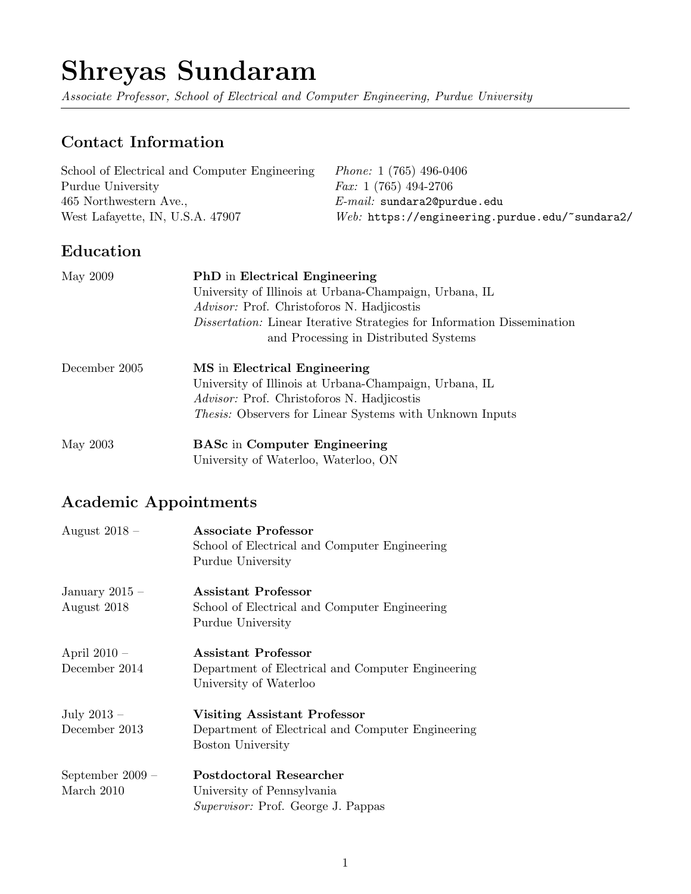# Shreyas Sundaram

Associate Professor, School of Electrical and Computer Engineering, Purdue University

# Contact Information

| School of Electrical and Computer Engineering | <i>Phone:</i> 1 (765) 496-0406                   |
|-----------------------------------------------|--------------------------------------------------|
| Purdue University                             | <i>Fax:</i> 1 (765) 494-2706                     |
| 465 Northwestern Ave.,                        | $E$ - <i>mail</i> : sundara20 purdue.edu         |
| West Lafayette, IN, U.S.A. 47907              | $Web:$ https://engineering.purdue.edu/~sundara2/ |

# Education

| May 2009      | PhD in Electrical Engineering<br>University of Illinois at Urbana-Champaign, Urbana, IL<br><i>Advisor:</i> Prof. Christoforos N. Hadjicostis<br><i>Dissertation:</i> Linear Iterative Strategies for Information Dissemination |  |  |
|---------------|--------------------------------------------------------------------------------------------------------------------------------------------------------------------------------------------------------------------------------|--|--|
|               |                                                                                                                                                                                                                                |  |  |
|               |                                                                                                                                                                                                                                |  |  |
|               |                                                                                                                                                                                                                                |  |  |
|               | and Processing in Distributed Systems                                                                                                                                                                                          |  |  |
| December 2005 | MS in Electrical Engineering                                                                                                                                                                                                   |  |  |
|               | University of Illinois at Urbana-Champaign, Urbana, IL                                                                                                                                                                         |  |  |
|               | <i>Advisor:</i> Prof. Christoforos N. Hadjicostis                                                                                                                                                                              |  |  |
|               | <i>Thesis:</i> Observers for Linear Systems with Unknown Inputs                                                                                                                                                                |  |  |
| May 2003      | <b>BASc</b> in Computer Engineering                                                                                                                                                                                            |  |  |
|               | University of Waterloo, Waterloo, ON                                                                                                                                                                                           |  |  |

# Academic Appointments

| August $2018 -$                  | Associate Professor<br>School of Electrical and Computer Engineering<br>Purdue University                     |
|----------------------------------|---------------------------------------------------------------------------------------------------------------|
| January 2015 $-$<br>August 2018  | Assistant Professor<br>School of Electrical and Computer Engineering<br>Purdue University                     |
| April $2010 -$<br>December 2014  | Assistant Professor<br>Department of Electrical and Computer Engineering<br>University of Waterloo            |
| July $2013 -$<br>December 2013   | Visiting Assistant Professor<br>Department of Electrical and Computer Engineering<br><b>Boston University</b> |
| September $2009 -$<br>March 2010 | Postdoctoral Researcher<br>University of Pennsylvania<br><i>Supervisor:</i> Prof. George J. Pappas            |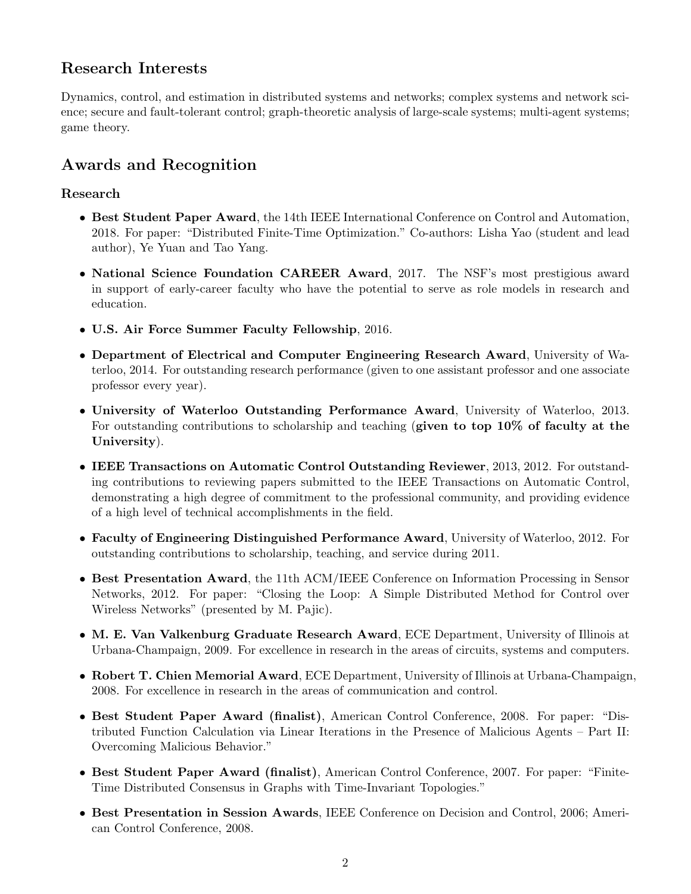# Research Interests

Dynamics, control, and estimation in distributed systems and networks; complex systems and network science; secure and fault-tolerant control; graph-theoretic analysis of large-scale systems; multi-agent systems; game theory.

# Awards and Recognition

# Research

- Best Student Paper Award, the 14th IEEE International Conference on Control and Automation, 2018. For paper: "Distributed Finite-Time Optimization." Co-authors: Lisha Yao (student and lead author), Ye Yuan and Tao Yang.
- National Science Foundation CAREER Award, 2017. The NSF's most prestigious award in support of early-career faculty who have the potential to serve as role models in research and education.
- U.S. Air Force Summer Faculty Fellowship, 2016.
- Department of Electrical and Computer Engineering Research Award, University of Waterloo, 2014. For outstanding research performance (given to one assistant professor and one associate professor every year).
- University of Waterloo Outstanding Performance Award, University of Waterloo, 2013. For outstanding contributions to scholarship and teaching (given to top  $10\%$  of faculty at the University).
- IEEE Transactions on Automatic Control Outstanding Reviewer, 2013, 2012. For outstanding contributions to reviewing papers submitted to the IEEE Transactions on Automatic Control, demonstrating a high degree of commitment to the professional community, and providing evidence of a high level of technical accomplishments in the field.
- Faculty of Engineering Distinguished Performance Award, University of Waterloo, 2012. For outstanding contributions to scholarship, teaching, and service during 2011.
- Best Presentation Award, the 11th ACM/IEEE Conference on Information Processing in Sensor Networks, 2012. For paper: "Closing the Loop: A Simple Distributed Method for Control over Wireless Networks" (presented by M. Pajic).
- M. E. Van Valkenburg Graduate Research Award, ECE Department, University of Illinois at Urbana-Champaign, 2009. For excellence in research in the areas of circuits, systems and computers.
- Robert T. Chien Memorial Award, ECE Department, University of Illinois at Urbana-Champaign, 2008. For excellence in research in the areas of communication and control.
- Best Student Paper Award (finalist), American Control Conference, 2008. For paper: "Distributed Function Calculation via Linear Iterations in the Presence of Malicious Agents – Part II: Overcoming Malicious Behavior."
- Best Student Paper Award (finalist), American Control Conference, 2007. For paper: "Finite-Time Distributed Consensus in Graphs with Time-Invariant Topologies."
- Best Presentation in Session Awards, IEEE Conference on Decision and Control, 2006; American Control Conference, 2008.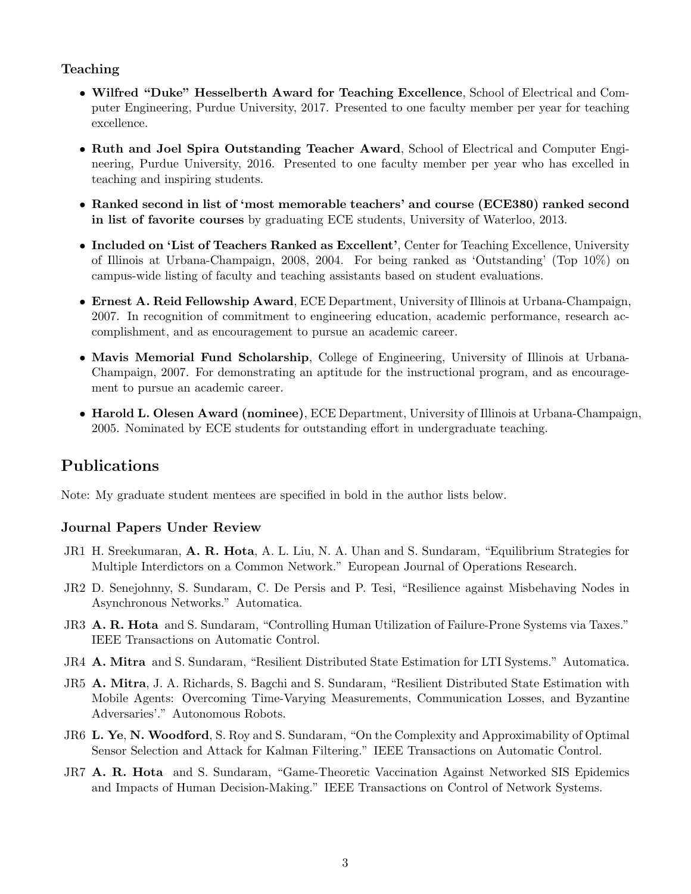#### Teaching

- Wilfred "Duke" Hesselberth Award for Teaching Excellence, School of Electrical and Computer Engineering, Purdue University, 2017. Presented to one faculty member per year for teaching excellence.
- Ruth and Joel Spira Outstanding Teacher Award, School of Electrical and Computer Engineering, Purdue University, 2016. Presented to one faculty member per year who has excelled in teaching and inspiring students.
- Ranked second in list of 'most memorable teachers' and course (ECE380) ranked second in list of favorite courses by graduating ECE students, University of Waterloo, 2013.
- Included on 'List of Teachers Ranked as Excellent', Center for Teaching Excellence, University of Illinois at Urbana-Champaign, 2008, 2004. For being ranked as 'Outstanding' (Top 10%) on campus-wide listing of faculty and teaching assistants based on student evaluations.
- Ernest A. Reid Fellowship Award, ECE Department, University of Illinois at Urbana-Champaign, 2007. In recognition of commitment to engineering education, academic performance, research accomplishment, and as encouragement to pursue an academic career.
- Mavis Memorial Fund Scholarship, College of Engineering, University of Illinois at Urbana-Champaign, 2007. For demonstrating an aptitude for the instructional program, and as encouragement to pursue an academic career.
- Harold L. Olesen Award (nominee), ECE Department, University of Illinois at Urbana-Champaign, 2005. Nominated by ECE students for outstanding effort in undergraduate teaching.

# Publications

Note: My graduate student mentees are specified in bold in the author lists below.

### Journal Papers Under Review

- JR1 H. Sreekumaran, A. R. Hota, A. L. Liu, N. A. Uhan and S. Sundaram, "Equilibrium Strategies for Multiple Interdictors on a Common Network." European Journal of Operations Research.
- JR2 D. Senejohnny, S. Sundaram, C. De Persis and P. Tesi, "Resilience against Misbehaving Nodes in Asynchronous Networks." Automatica.
- JR3 A. R. Hota and S. Sundaram, "Controlling Human Utilization of Failure-Prone Systems via Taxes." IEEE Transactions on Automatic Control.
- JR4 A. Mitra and S. Sundaram, "Resilient Distributed State Estimation for LTI Systems." Automatica.
- JR5 A. Mitra, J. A. Richards, S. Bagchi and S. Sundaram, "Resilient Distributed State Estimation with Mobile Agents: Overcoming Time-Varying Measurements, Communication Losses, and Byzantine Adversaries'." Autonomous Robots.
- JR6 L. Ye, N. Woodford, S. Roy and S. Sundaram, "On the Complexity and Approximability of Optimal Sensor Selection and Attack for Kalman Filtering." IEEE Transactions on Automatic Control.
- JR7 A. R. Hota and S. Sundaram, "Game-Theoretic Vaccination Against Networked SIS Epidemics and Impacts of Human Decision-Making." IEEE Transactions on Control of Network Systems.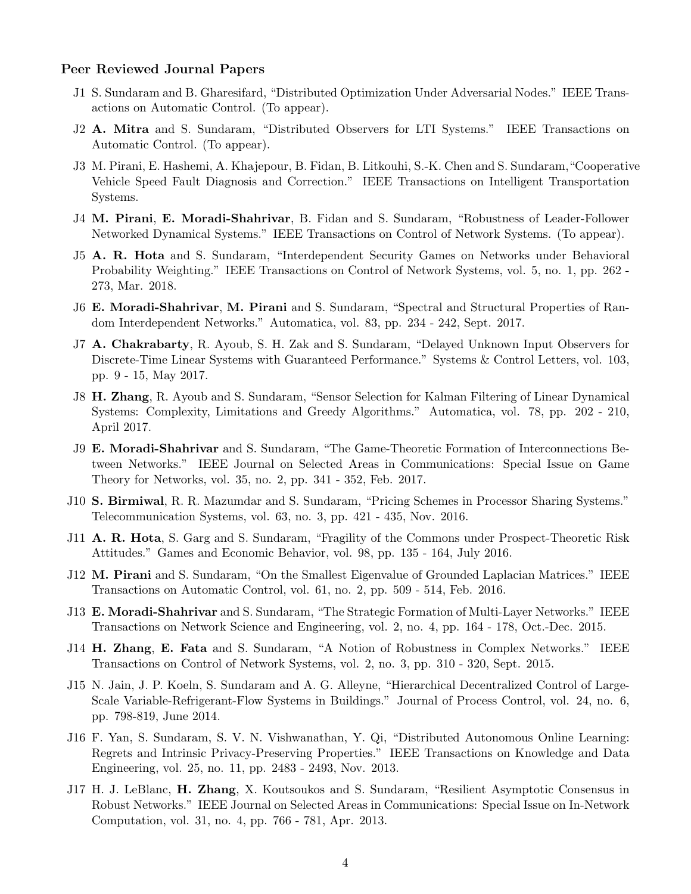#### Peer Reviewed Journal Papers

- J1 S. Sundaram and B. Gharesifard, "Distributed Optimization Under Adversarial Nodes." IEEE Transactions on Automatic Control. (To appear).
- J2 A. Mitra and S. Sundaram, "Distributed Observers for LTI Systems." IEEE Transactions on Automatic Control. (To appear).
- J3 M. Pirani, E. Hashemi, A. Khajepour, B. Fidan, B. Litkouhi, S.-K. Chen and S. Sundaram,"Cooperative Vehicle Speed Fault Diagnosis and Correction." IEEE Transactions on Intelligent Transportation Systems.
- J4 M. Pirani, E. Moradi-Shahrivar, B. Fidan and S. Sundaram, "Robustness of Leader-Follower Networked Dynamical Systems." IEEE Transactions on Control of Network Systems. (To appear).
- J5 A. R. Hota and S. Sundaram, "Interdependent Security Games on Networks under Behavioral Probability Weighting." IEEE Transactions on Control of Network Systems, vol. 5, no. 1, pp. 262 - 273, Mar. 2018.
- J6 E. Moradi-Shahrivar, M. Pirani and S. Sundaram, "Spectral and Structural Properties of Random Interdependent Networks." Automatica, vol. 83, pp. 234 - 242, Sept. 2017.
- J7 A. Chakrabarty, R. Ayoub, S. H. Zak and S. Sundaram, "Delayed Unknown Input Observers for Discrete-Time Linear Systems with Guaranteed Performance." Systems & Control Letters, vol. 103, pp. 9 - 15, May 2017.
- J8 H. Zhang, R. Ayoub and S. Sundaram, "Sensor Selection for Kalman Filtering of Linear Dynamical Systems: Complexity, Limitations and Greedy Algorithms." Automatica, vol. 78, pp. 202 - 210, April 2017.
- J9 E. Moradi-Shahrivar and S. Sundaram, "The Game-Theoretic Formation of Interconnections Between Networks." IEEE Journal on Selected Areas in Communications: Special Issue on Game Theory for Networks, vol. 35, no. 2, pp. 341 - 352, Feb. 2017.
- J10 S. Birmiwal, R. R. Mazumdar and S. Sundaram, "Pricing Schemes in Processor Sharing Systems." Telecommunication Systems, vol. 63, no. 3, pp. 421 - 435, Nov. 2016.
- J11 **A. R. Hota**, S. Garg and S. Sundaram, "Fragility of the Commons under Prospect-Theoretic Risk Attitudes." Games and Economic Behavior, vol. 98, pp. 135 - 164, July 2016.
- J12 M. Pirani and S. Sundaram, "On the Smallest Eigenvalue of Grounded Laplacian Matrices." IEEE Transactions on Automatic Control, vol. 61, no. 2, pp. 509 - 514, Feb. 2016.
- J13 E. Moradi-Shahrivar and S. Sundaram, "The Strategic Formation of Multi-Layer Networks." IEEE Transactions on Network Science and Engineering, vol. 2, no. 4, pp. 164 - 178, Oct.-Dec. 2015.
- J14 H. Zhang, E. Fata and S. Sundaram, "A Notion of Robustness in Complex Networks." IEEE Transactions on Control of Network Systems, vol. 2, no. 3, pp. 310 - 320, Sept. 2015.
- J15 N. Jain, J. P. Koeln, S. Sundaram and A. G. Alleyne, "Hierarchical Decentralized Control of Large-Scale Variable-Refrigerant-Flow Systems in Buildings." Journal of Process Control, vol. 24, no. 6, pp. 798-819, June 2014.
- J16 F. Yan, S. Sundaram, S. V. N. Vishwanathan, Y. Qi, "Distributed Autonomous Online Learning: Regrets and Intrinsic Privacy-Preserving Properties." IEEE Transactions on Knowledge and Data Engineering, vol. 25, no. 11, pp. 2483 - 2493, Nov. 2013.
- J17 H. J. LeBlanc, H. Zhang, X. Koutsoukos and S. Sundaram, "Resilient Asymptotic Consensus in Robust Networks." IEEE Journal on Selected Areas in Communications: Special Issue on In-Network Computation, vol. 31, no. 4, pp. 766 - 781, Apr. 2013.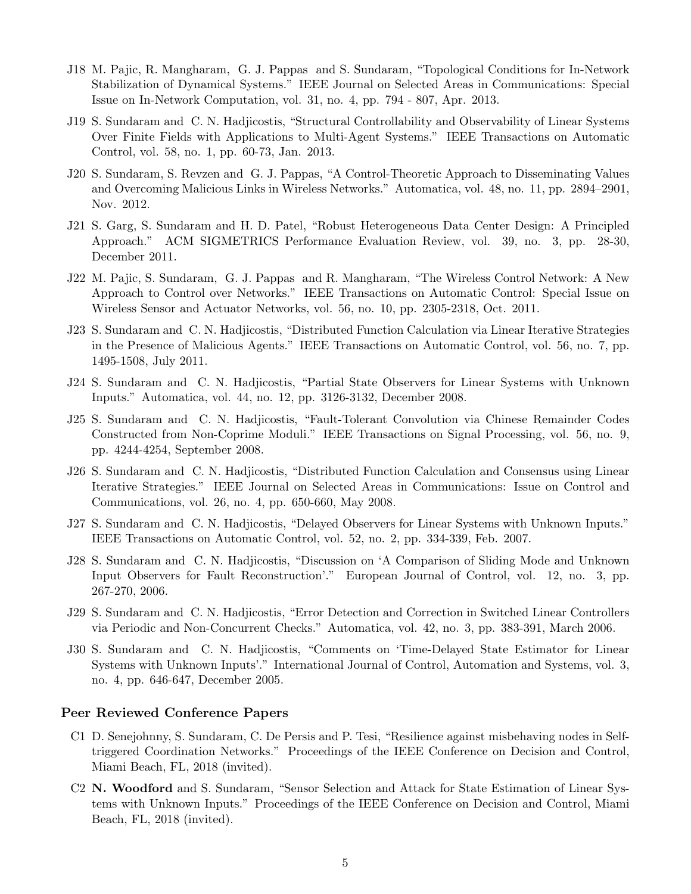- J18 M. Pajic, R. Mangharam, G. J. Pappas and S. Sundaram, "Topological Conditions for In-Network Stabilization of Dynamical Systems." IEEE Journal on Selected Areas in Communications: Special Issue on In-Network Computation, vol. 31, no. 4, pp. 794 - 807, Apr. 2013.
- J19 S. Sundaram and C. N. Hadjicostis, "Structural Controllability and Observability of Linear Systems Over Finite Fields with Applications to Multi-Agent Systems." IEEE Transactions on Automatic Control, vol. 58, no. 1, pp. 60-73, Jan. 2013.
- J20 S. Sundaram, S. Revzen and G. J. Pappas, "A Control-Theoretic Approach to Disseminating Values and Overcoming Malicious Links in Wireless Networks." Automatica, vol. 48, no. 11, pp. 2894–2901, Nov. 2012.
- J21 S. Garg, S. Sundaram and H. D. Patel, "Robust Heterogeneous Data Center Design: A Principled Approach." ACM SIGMETRICS Performance Evaluation Review, vol. 39, no. 3, pp. 28-30, December 2011.
- J22 M. Pajic, S. Sundaram, G. J. Pappas and R. Mangharam, "The Wireless Control Network: A New Approach to Control over Networks." IEEE Transactions on Automatic Control: Special Issue on Wireless Sensor and Actuator Networks, vol. 56, no. 10, pp. 2305-2318, Oct. 2011.
- J23 S. Sundaram and C. N. Hadjicostis, "Distributed Function Calculation via Linear Iterative Strategies in the Presence of Malicious Agents." IEEE Transactions on Automatic Control, vol. 56, no. 7, pp. 1495-1508, July 2011.
- J24 S. Sundaram and C. N. Hadjicostis, "Partial State Observers for Linear Systems with Unknown Inputs." Automatica, vol. 44, no. 12, pp. 3126-3132, December 2008.
- J25 S. Sundaram and C. N. Hadjicostis, "Fault-Tolerant Convolution via Chinese Remainder Codes Constructed from Non-Coprime Moduli." IEEE Transactions on Signal Processing, vol. 56, no. 9, pp. 4244-4254, September 2008.
- J26 S. Sundaram and C. N. Hadjicostis, "Distributed Function Calculation and Consensus using Linear Iterative Strategies." IEEE Journal on Selected Areas in Communications: Issue on Control and Communications, vol. 26, no. 4, pp. 650-660, May 2008.
- J27 S. Sundaram and C. N. Hadjicostis, "Delayed Observers for Linear Systems with Unknown Inputs." IEEE Transactions on Automatic Control, vol. 52, no. 2, pp. 334-339, Feb. 2007.
- J28 S. Sundaram and C. N. Hadjicostis, "Discussion on 'A Comparison of Sliding Mode and Unknown Input Observers for Fault Reconstruction'." European Journal of Control, vol. 12, no. 3, pp. 267-270, 2006.
- J29 S. Sundaram and C. N. Hadjicostis, "Error Detection and Correction in Switched Linear Controllers via Periodic and Non-Concurrent Checks." Automatica, vol. 42, no. 3, pp. 383-391, March 2006.
- J30 S. Sundaram and C. N. Hadjicostis, "Comments on 'Time-Delayed State Estimator for Linear Systems with Unknown Inputs'." International Journal of Control, Automation and Systems, vol. 3, no. 4, pp. 646-647, December 2005.

#### Peer Reviewed Conference Papers

- C1 D. Senejohnny, S. Sundaram, C. De Persis and P. Tesi, "Resilience against misbehaving nodes in Selftriggered Coordination Networks." Proceedings of the IEEE Conference on Decision and Control, Miami Beach, FL, 2018 (invited).
- C2 N. Woodford and S. Sundaram, "Sensor Selection and Attack for State Estimation of Linear Systems with Unknown Inputs." Proceedings of the IEEE Conference on Decision and Control, Miami Beach, FL, 2018 (invited).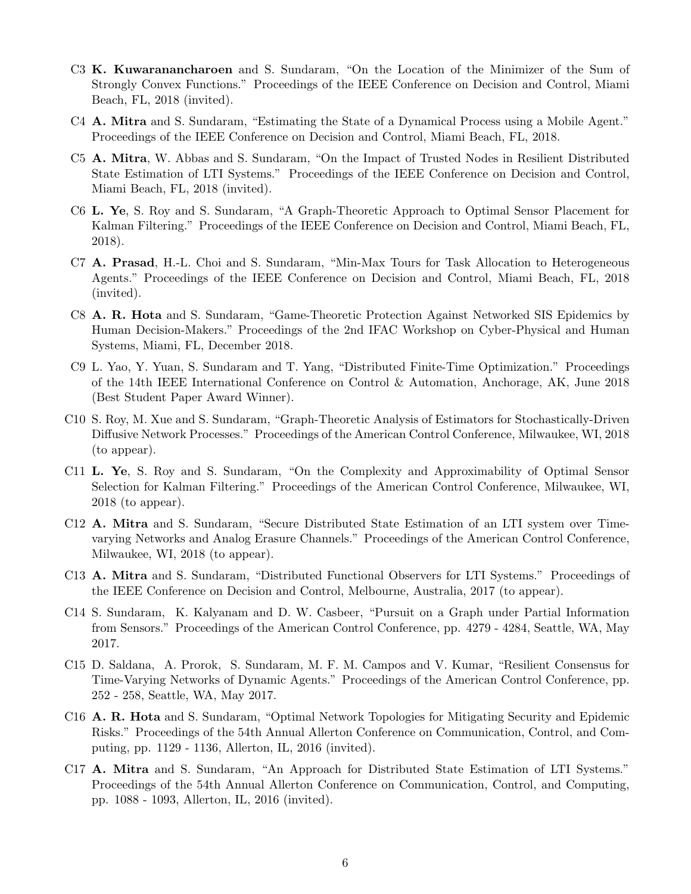- C3 K. Kuwaranancharoen and S. Sundaram, "On the Location of the Minimizer of the Sum of Strongly Convex Functions." Proceedings of the IEEE Conference on Decision and Control, Miami Beach, FL, 2018 (invited).
- C4 A. Mitra and S. Sundaram, "Estimating the State of a Dynamical Process using a Mobile Agent." Proceedings of the IEEE Conference on Decision and Control, Miami Beach, FL, 2018.
- C5 A. Mitra, W. Abbas and S. Sundaram, "On the Impact of Trusted Nodes in Resilient Distributed State Estimation of LTI Systems." Proceedings of the IEEE Conference on Decision and Control, Miami Beach, FL, 2018 (invited).
- C6 L. Ye, S. Roy and S. Sundaram, "A Graph-Theoretic Approach to Optimal Sensor Placement for Kalman Filtering." Proceedings of the IEEE Conference on Decision and Control, Miami Beach, FL, 2018).
- C7 A. Prasad, H.-L. Choi and S. Sundaram, "Min-Max Tours for Task Allocation to Heterogeneous Agents." Proceedings of the IEEE Conference on Decision and Control, Miami Beach, FL, 2018 (invited).
- C8 A. R. Hota and S. Sundaram, "Game-Theoretic Protection Against Networked SIS Epidemics by Human Decision-Makers." Proceedings of the 2nd IFAC Workshop on Cyber-Physical and Human Systems, Miami, FL, December 2018.
- C9 L. Yao, Y. Yuan, S. Sundaram and T. Yang, "Distributed Finite-Time Optimization." Proceedings of the 14th IEEE International Conference on Control & Automation, Anchorage, AK, June 2018 (Best Student Paper Award Winner).
- C10 S. Roy, M. Xue and S. Sundaram, "Graph-Theoretic Analysis of Estimators for Stochastically-Driven Diffusive Network Processes." Proceedings of the American Control Conference, Milwaukee, WI, 2018 (to appear).
- C11 L. Ye, S. Roy and S. Sundaram, "On the Complexity and Approximability of Optimal Sensor Selection for Kalman Filtering." Proceedings of the American Control Conference, Milwaukee, WI, 2018 (to appear).
- C12 A. Mitra and S. Sundaram, "Secure Distributed State Estimation of an LTI system over Timevarying Networks and Analog Erasure Channels." Proceedings of the American Control Conference, Milwaukee, WI, 2018 (to appear).
- C13 A. Mitra and S. Sundaram, "Distributed Functional Observers for LTI Systems." Proceedings of the IEEE Conference on Decision and Control, Melbourne, Australia, 2017 (to appear).
- C14 S. Sundaram, K. Kalyanam and D. W. Casbeer, "Pursuit on a Graph under Partial Information from Sensors." Proceedings of the American Control Conference, pp. 4279 - 4284, Seattle, WA, May 2017.
- C15 D. Saldana, A. Prorok, S. Sundaram, M. F. M. Campos and V. Kumar, "Resilient Consensus for Time-Varying Networks of Dynamic Agents." Proceedings of the American Control Conference, pp. 252 - 258, Seattle, WA, May 2017.
- C16 A. R. Hota and S. Sundaram, "Optimal Network Topologies for Mitigating Security and Epidemic Risks." Proceedings of the 54th Annual Allerton Conference on Communication, Control, and Computing, pp. 1129 - 1136, Allerton, IL, 2016 (invited).
- C17 A. Mitra and S. Sundaram, "An Approach for Distributed State Estimation of LTI Systems." Proceedings of the 54th Annual Allerton Conference on Communication, Control, and Computing, pp. 1088 - 1093, Allerton, IL, 2016 (invited).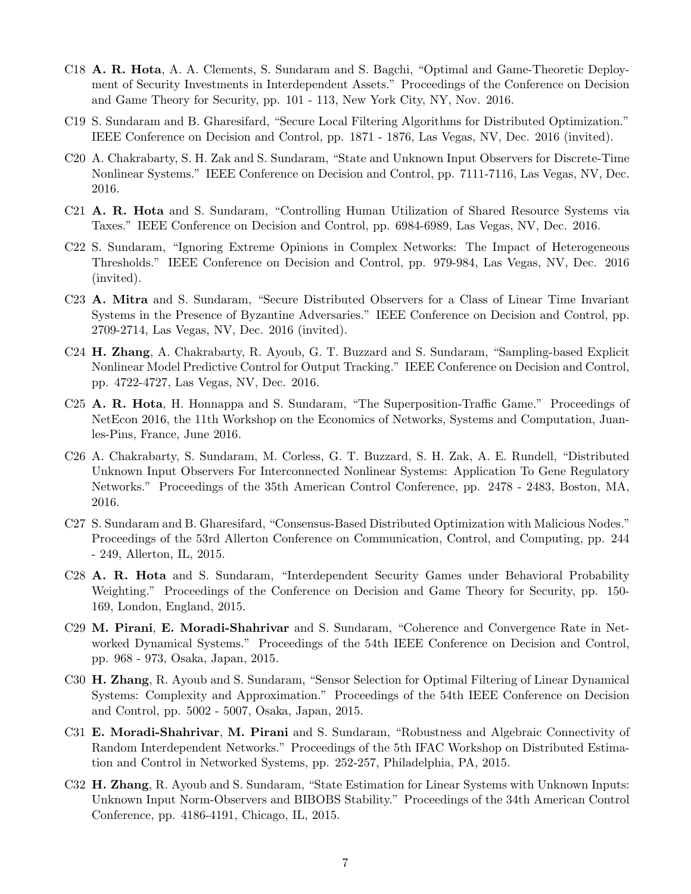- C18 A. R. Hota, A. A. Clements, S. Sundaram and S. Bagchi, "Optimal and Game-Theoretic Deployment of Security Investments in Interdependent Assets." Proceedings of the Conference on Decision and Game Theory for Security, pp. 101 - 113, New York City, NY, Nov. 2016.
- C19 S. Sundaram and B. Gharesifard, "Secure Local Filtering Algorithms for Distributed Optimization." IEEE Conference on Decision and Control, pp. 1871 - 1876, Las Vegas, NV, Dec. 2016 (invited).
- C20 A. Chakrabarty, S. H. Zak and S. Sundaram, "State and Unknown Input Observers for Discrete-Time Nonlinear Systems." IEEE Conference on Decision and Control, pp. 7111-7116, Las Vegas, NV, Dec. 2016.
- C21 A. R. Hota and S. Sundaram, "Controlling Human Utilization of Shared Resource Systems via Taxes." IEEE Conference on Decision and Control, pp. 6984-6989, Las Vegas, NV, Dec. 2016.
- C22 S. Sundaram, "Ignoring Extreme Opinions in Complex Networks: The Impact of Heterogeneous Thresholds." IEEE Conference on Decision and Control, pp. 979-984, Las Vegas, NV, Dec. 2016 (invited).
- C23 A. Mitra and S. Sundaram, "Secure Distributed Observers for a Class of Linear Time Invariant Systems in the Presence of Byzantine Adversaries." IEEE Conference on Decision and Control, pp. 2709-2714, Las Vegas, NV, Dec. 2016 (invited).
- C24 H. Zhang, A. Chakrabarty, R. Ayoub, G. T. Buzzard and S. Sundaram, "Sampling-based Explicit Nonlinear Model Predictive Control for Output Tracking." IEEE Conference on Decision and Control, pp. 4722-4727, Las Vegas, NV, Dec. 2016.
- C25 A. R. Hota, H. Honnappa and S. Sundaram, "The Superposition-Traffic Game." Proceedings of NetEcon 2016, the 11th Workshop on the Economics of Networks, Systems and Computation, Juanles-Pins, France, June 2016.
- C26 A. Chakrabarty, S. Sundaram, M. Corless, G. T. Buzzard, S. H. Zak, A. E. Rundell, "Distributed Unknown Input Observers For Interconnected Nonlinear Systems: Application To Gene Regulatory Networks." Proceedings of the 35th American Control Conference, pp. 2478 - 2483, Boston, MA, 2016.
- C27 S. Sundaram and B. Gharesifard, "Consensus-Based Distributed Optimization with Malicious Nodes." Proceedings of the 53rd Allerton Conference on Communication, Control, and Computing, pp. 244 - 249, Allerton, IL, 2015.
- C28 A. R. Hota and S. Sundaram, "Interdependent Security Games under Behavioral Probability Weighting." Proceedings of the Conference on Decision and Game Theory for Security, pp. 150- 169, London, England, 2015.
- C29 M. Pirani, E. Moradi-Shahrivar and S. Sundaram, "Coherence and Convergence Rate in Networked Dynamical Systems." Proceedings of the 54th IEEE Conference on Decision and Control, pp. 968 - 973, Osaka, Japan, 2015.
- C30 H. Zhang, R. Ayoub and S. Sundaram, "Sensor Selection for Optimal Filtering of Linear Dynamical Systems: Complexity and Approximation." Proceedings of the 54th IEEE Conference on Decision and Control, pp. 5002 - 5007, Osaka, Japan, 2015.
- C31 E. Moradi-Shahrivar, M. Pirani and S. Sundaram, "Robustness and Algebraic Connectivity of Random Interdependent Networks." Proceedings of the 5th IFAC Workshop on Distributed Estimation and Control in Networked Systems, pp. 252-257, Philadelphia, PA, 2015.
- C32 H. Zhang, R. Ayoub and S. Sundaram, "State Estimation for Linear Systems with Unknown Inputs: Unknown Input Norm-Observers and BIBOBS Stability." Proceedings of the 34th American Control Conference, pp. 4186-4191, Chicago, IL, 2015.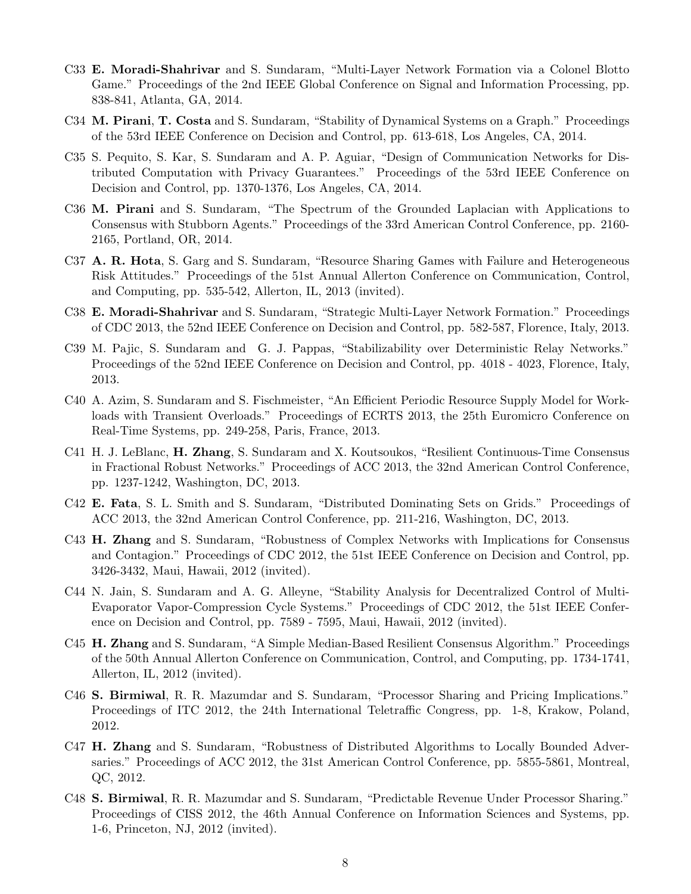- C33 E. Moradi-Shahrivar and S. Sundaram, "Multi-Layer Network Formation via a Colonel Blotto Game." Proceedings of the 2nd IEEE Global Conference on Signal and Information Processing, pp. 838-841, Atlanta, GA, 2014.
- C34 **M. Pirani, T. Costa** and S. Sundaram, "Stability of Dynamical Systems on a Graph." Proceedings of the 53rd IEEE Conference on Decision and Control, pp. 613-618, Los Angeles, CA, 2014.
- C35 S. Pequito, S. Kar, S. Sundaram and A. P. Aguiar, "Design of Communication Networks for Distributed Computation with Privacy Guarantees." Proceedings of the 53rd IEEE Conference on Decision and Control, pp. 1370-1376, Los Angeles, CA, 2014.
- C36 M. Pirani and S. Sundaram, "The Spectrum of the Grounded Laplacian with Applications to Consensus with Stubborn Agents." Proceedings of the 33rd American Control Conference, pp. 2160- 2165, Portland, OR, 2014.
- C37 A. R. Hota, S. Garg and S. Sundaram, "Resource Sharing Games with Failure and Heterogeneous Risk Attitudes." Proceedings of the 51st Annual Allerton Conference on Communication, Control, and Computing, pp. 535-542, Allerton, IL, 2013 (invited).
- C38 E. Moradi-Shahrivar and S. Sundaram, "Strategic Multi-Layer Network Formation." Proceedings of CDC 2013, the 52nd IEEE Conference on Decision and Control, pp. 582-587, Florence, Italy, 2013.
- C39 M. Pajic, S. Sundaram and G. J. Pappas, "Stabilizability over Deterministic Relay Networks." Proceedings of the 52nd IEEE Conference on Decision and Control, pp. 4018 - 4023, Florence, Italy, 2013.
- C40 A. Azim, S. Sundaram and S. Fischmeister, "An Efficient Periodic Resource Supply Model for Workloads with Transient Overloads." Proceedings of ECRTS 2013, the 25th Euromicro Conference on Real-Time Systems, pp. 249-258, Paris, France, 2013.
- C41 H. J. LeBlanc, H. Zhang, S. Sundaram and X. Koutsoukos, "Resilient Continuous-Time Consensus in Fractional Robust Networks." Proceedings of ACC 2013, the 32nd American Control Conference, pp. 1237-1242, Washington, DC, 2013.
- C42 E. Fata, S. L. Smith and S. Sundaram, "Distributed Dominating Sets on Grids." Proceedings of ACC 2013, the 32nd American Control Conference, pp. 211-216, Washington, DC, 2013.
- C43 H. Zhang and S. Sundaram, "Robustness of Complex Networks with Implications for Consensus and Contagion." Proceedings of CDC 2012, the 51st IEEE Conference on Decision and Control, pp. 3426-3432, Maui, Hawaii, 2012 (invited).
- C44 N. Jain, S. Sundaram and A. G. Alleyne, "Stability Analysis for Decentralized Control of Multi-Evaporator Vapor-Compression Cycle Systems." Proceedings of CDC 2012, the 51st IEEE Conference on Decision and Control, pp. 7589 - 7595, Maui, Hawaii, 2012 (invited).
- C45 H. Zhang and S. Sundaram, "A Simple Median-Based Resilient Consensus Algorithm." Proceedings of the 50th Annual Allerton Conference on Communication, Control, and Computing, pp. 1734-1741, Allerton, IL, 2012 (invited).
- C46 S. Birmiwal, R. R. Mazumdar and S. Sundaram, "Processor Sharing and Pricing Implications." Proceedings of ITC 2012, the 24th International Teletraffic Congress, pp. 1-8, Krakow, Poland, 2012.
- C47 H. Zhang and S. Sundaram, "Robustness of Distributed Algorithms to Locally Bounded Adversaries." Proceedings of ACC 2012, the 31st American Control Conference, pp. 5855-5861, Montreal, QC, 2012.
- C48 S. Birmiwal, R. R. Mazumdar and S. Sundaram, "Predictable Revenue Under Processor Sharing." Proceedings of CISS 2012, the 46th Annual Conference on Information Sciences and Systems, pp. 1-6, Princeton, NJ, 2012 (invited).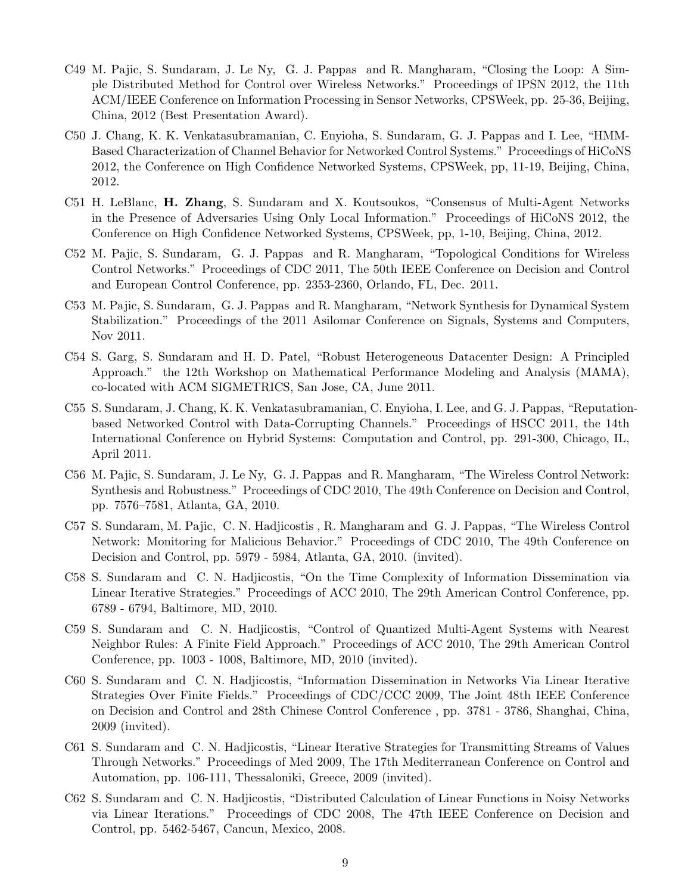- C49 M. Pajic, S. Sundaram, J. Le Ny, G. J. Pappas and R. Mangharam, "Closing the Loop: A Simple Distributed Method for Control over Wireless Networks." Proceedings of IPSN 2012, the 11th ACM/IEEE Conference on Information Processing in Sensor Networks, CPSWeek, pp. 25-36, Beijing, China, 2012 (Best Presentation Award).
- C50 J. Chang, K. K. Venkatasubramanian, C. Enyioha, S. Sundaram, G. J. Pappas and I. Lee, "HMM-Based Characterization of Channel Behavior for Networked Control Systems." Proceedings of HiCoNS 2012, the Conference on High Confidence Networked Systems, CPSWeek, pp, 11-19, Beijing, China, 2012.
- C51 H. LeBlanc, H. Zhang, S. Sundaram and X. Koutsoukos, "Consensus of Multi-Agent Networks in the Presence of Adversaries Using Only Local Information." Proceedings of HiCoNS 2012, the Conference on High Confidence Networked Systems, CPSWeek, pp, 1-10, Beijing, China, 2012.
- C52 M. Pajic, S. Sundaram, G. J. Pappas and R. Mangharam, "Topological Conditions for Wireless Control Networks." Proceedings of CDC 2011, The 50th IEEE Conference on Decision and Control and European Control Conference, pp. 2353-2360, Orlando, FL, Dec. 2011.
- C53 M. Pajic, S. Sundaram, G. J. Pappas and R. Mangharam, "Network Synthesis for Dynamical System Stabilization." Proceedings of the 2011 Asilomar Conference on Signals, Systems and Computers, Nov 2011.
- C54 S. Garg, S. Sundaram and H. D. Patel, "Robust Heterogeneous Datacenter Design: A Principled Approach." the 12th Workshop on Mathematical Performance Modeling and Analysis (MAMA), co-located with ACM SIGMETRICS, San Jose, CA, June 2011.
- C55 S. Sundaram, J. Chang, K. K. Venkatasubramanian, C. Enyioha, I. Lee, and G. J. Pappas, "Reputationbased Networked Control with Data-Corrupting Channels." Proceedings of HSCC 2011, the 14th International Conference on Hybrid Systems: Computation and Control, pp. 291-300, Chicago, IL, April 2011.
- C56 M. Pajic, S. Sundaram, J. Le Ny, G. J. Pappas and R. Mangharam, "The Wireless Control Network: Synthesis and Robustness." Proceedings of CDC 2010, The 49th Conference on Decision and Control, pp. 7576–7581, Atlanta, GA, 2010.
- C57 S. Sundaram, M. Pajic, C. N. Hadjicostis , R. Mangharam and G. J. Pappas, "The Wireless Control Network: Monitoring for Malicious Behavior." Proceedings of CDC 2010, The 49th Conference on Decision and Control, pp. 5979 - 5984, Atlanta, GA, 2010. (invited).
- C58 S. Sundaram and C. N. Hadjicostis, "On the Time Complexity of Information Dissemination via Linear Iterative Strategies." Proceedings of ACC 2010, The 29th American Control Conference, pp. 6789 - 6794, Baltimore, MD, 2010.
- C59 S. Sundaram and C. N. Hadjicostis, "Control of Quantized Multi-Agent Systems with Nearest Neighbor Rules: A Finite Field Approach." Proceedings of ACC 2010, The 29th American Control Conference, pp. 1003 - 1008, Baltimore, MD, 2010 (invited).
- C60 S. Sundaram and C. N. Hadjicostis, "Information Dissemination in Networks Via Linear Iterative Strategies Over Finite Fields." Proceedings of CDC/CCC 2009, The Joint 48th IEEE Conference on Decision and Control and 28th Chinese Control Conference , pp. 3781 - 3786, Shanghai, China, 2009 (invited).
- C61 S. Sundaram and C. N. Hadjicostis, "Linear Iterative Strategies for Transmitting Streams of Values Through Networks." Proceedings of Med 2009, The 17th Mediterranean Conference on Control and Automation, pp. 106-111, Thessaloniki, Greece, 2009 (invited).
- C62 S. Sundaram and C. N. Hadjicostis, "Distributed Calculation of Linear Functions in Noisy Networks via Linear Iterations." Proceedings of CDC 2008, The 47th IEEE Conference on Decision and Control, pp. 5462-5467, Cancun, Mexico, 2008.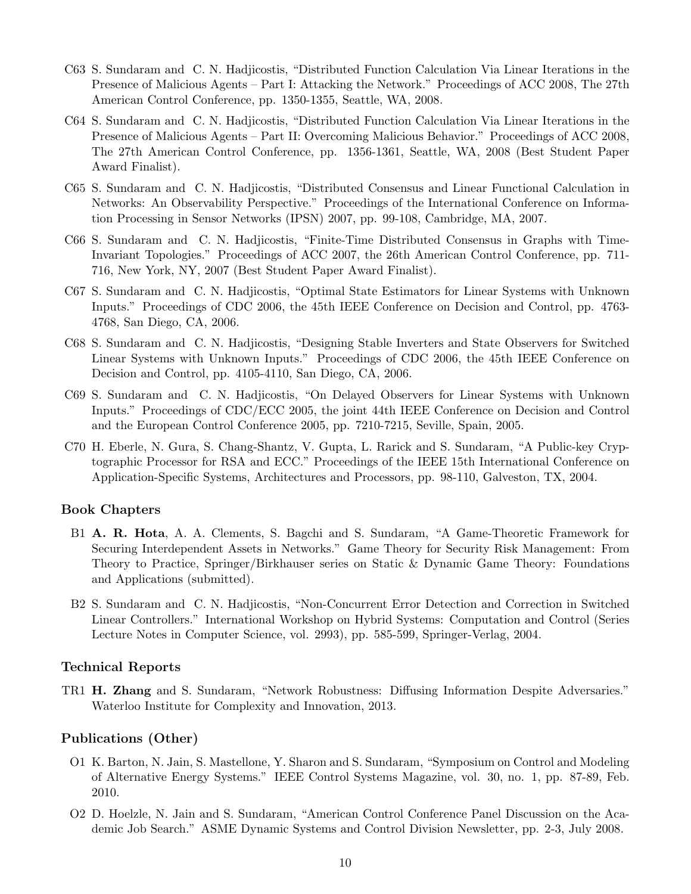- C63 S. Sundaram and C. N. Hadjicostis, "Distributed Function Calculation Via Linear Iterations in the Presence of Malicious Agents – Part I: Attacking the Network." Proceedings of ACC 2008, The 27th American Control Conference, pp. 1350-1355, Seattle, WA, 2008.
- C64 S. Sundaram and C. N. Hadjicostis, "Distributed Function Calculation Via Linear Iterations in the Presence of Malicious Agents – Part II: Overcoming Malicious Behavior." Proceedings of ACC 2008, The 27th American Control Conference, pp. 1356-1361, Seattle, WA, 2008 (Best Student Paper Award Finalist).
- C65 S. Sundaram and C. N. Hadjicostis, "Distributed Consensus and Linear Functional Calculation in Networks: An Observability Perspective." Proceedings of the International Conference on Information Processing in Sensor Networks (IPSN) 2007, pp. 99-108, Cambridge, MA, 2007.
- C66 S. Sundaram and C. N. Hadjicostis, "Finite-Time Distributed Consensus in Graphs with Time-Invariant Topologies." Proceedings of ACC 2007, the 26th American Control Conference, pp. 711- 716, New York, NY, 2007 (Best Student Paper Award Finalist).
- C67 S. Sundaram and C. N. Hadjicostis, "Optimal State Estimators for Linear Systems with Unknown Inputs." Proceedings of CDC 2006, the 45th IEEE Conference on Decision and Control, pp. 4763- 4768, San Diego, CA, 2006.
- C68 S. Sundaram and C. N. Hadjicostis, "Designing Stable Inverters and State Observers for Switched Linear Systems with Unknown Inputs." Proceedings of CDC 2006, the 45th IEEE Conference on Decision and Control, pp. 4105-4110, San Diego, CA, 2006.
- C69 S. Sundaram and C. N. Hadjicostis, "On Delayed Observers for Linear Systems with Unknown Inputs." Proceedings of CDC/ECC 2005, the joint 44th IEEE Conference on Decision and Control and the European Control Conference 2005, pp. 7210-7215, Seville, Spain, 2005.
- C70 H. Eberle, N. Gura, S. Chang-Shantz, V. Gupta, L. Rarick and S. Sundaram, "A Public-key Cryptographic Processor for RSA and ECC." Proceedings of the IEEE 15th International Conference on Application-Specific Systems, Architectures and Processors, pp. 98-110, Galveston, TX, 2004.

#### Book Chapters

- B1 A. R. Hota, A. A. Clements, S. Bagchi and S. Sundaram, "A Game-Theoretic Framework for Securing Interdependent Assets in Networks." Game Theory for Security Risk Management: From Theory to Practice, Springer/Birkhauser series on Static & Dynamic Game Theory: Foundations and Applications (submitted).
- B2 S. Sundaram and C. N. Hadjicostis, "Non-Concurrent Error Detection and Correction in Switched Linear Controllers." International Workshop on Hybrid Systems: Computation and Control (Series Lecture Notes in Computer Science, vol. 2993), pp. 585-599, Springer-Verlag, 2004.

#### Technical Reports

TR1 H. Zhang and S. Sundaram, "Network Robustness: Diffusing Information Despite Adversaries." Waterloo Institute for Complexity and Innovation, 2013.

#### Publications (Other)

- O1 K. Barton, N. Jain, S. Mastellone, Y. Sharon and S. Sundaram, "Symposium on Control and Modeling of Alternative Energy Systems." IEEE Control Systems Magazine, vol. 30, no. 1, pp. 87-89, Feb. 2010.
- O2 D. Hoelzle, N. Jain and S. Sundaram, "American Control Conference Panel Discussion on the Academic Job Search." ASME Dynamic Systems and Control Division Newsletter, pp. 2-3, July 2008.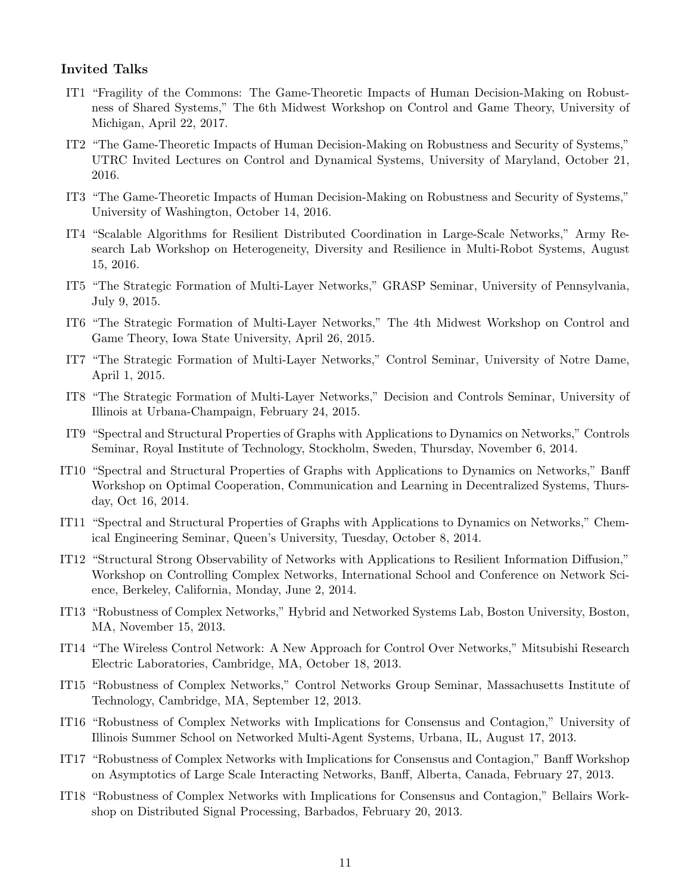#### Invited Talks

- IT1 "Fragility of the Commons: The Game-Theoretic Impacts of Human Decision-Making on Robustness of Shared Systems," The 6th Midwest Workshop on Control and Game Theory, University of Michigan, April 22, 2017.
- IT2 "The Game-Theoretic Impacts of Human Decision-Making on Robustness and Security of Systems," UTRC Invited Lectures on Control and Dynamical Systems, University of Maryland, October 21, 2016.
- IT3 "The Game-Theoretic Impacts of Human Decision-Making on Robustness and Security of Systems," University of Washington, October 14, 2016.
- IT4 "Scalable Algorithms for Resilient Distributed Coordination in Large-Scale Networks," Army Research Lab Workshop on Heterogeneity, Diversity and Resilience in Multi-Robot Systems, August 15, 2016.
- IT5 "The Strategic Formation of Multi-Layer Networks," GRASP Seminar, University of Pennsylvania, July 9, 2015.
- IT6 "The Strategic Formation of Multi-Layer Networks," The 4th Midwest Workshop on Control and Game Theory, Iowa State University, April 26, 2015.
- IT7 "The Strategic Formation of Multi-Layer Networks," Control Seminar, University of Notre Dame, April 1, 2015.
- IT8 "The Strategic Formation of Multi-Layer Networks," Decision and Controls Seminar, University of Illinois at Urbana-Champaign, February 24, 2015.
- IT9 "Spectral and Structural Properties of Graphs with Applications to Dynamics on Networks," Controls Seminar, Royal Institute of Technology, Stockholm, Sweden, Thursday, November 6, 2014.
- IT10 "Spectral and Structural Properties of Graphs with Applications to Dynamics on Networks," Banff Workshop on Optimal Cooperation, Communication and Learning in Decentralized Systems, Thursday, Oct 16, 2014.
- IT11 "Spectral and Structural Properties of Graphs with Applications to Dynamics on Networks," Chemical Engineering Seminar, Queen's University, Tuesday, October 8, 2014.
- IT12 "Structural Strong Observability of Networks with Applications to Resilient Information Diffusion," Workshop on Controlling Complex Networks, International School and Conference on Network Science, Berkeley, California, Monday, June 2, 2014.
- IT13 "Robustness of Complex Networks," Hybrid and Networked Systems Lab, Boston University, Boston, MA, November 15, 2013.
- IT14 "The Wireless Control Network: A New Approach for Control Over Networks," Mitsubishi Research Electric Laboratories, Cambridge, MA, October 18, 2013.
- IT15 "Robustness of Complex Networks," Control Networks Group Seminar, Massachusetts Institute of Technology, Cambridge, MA, September 12, 2013.
- IT16 "Robustness of Complex Networks with Implications for Consensus and Contagion," University of Illinois Summer School on Networked Multi-Agent Systems, Urbana, IL, August 17, 2013.
- IT17 "Robustness of Complex Networks with Implications for Consensus and Contagion," Banff Workshop on Asymptotics of Large Scale Interacting Networks, Banff, Alberta, Canada, February 27, 2013.
- IT18 "Robustness of Complex Networks with Implications for Consensus and Contagion," Bellairs Workshop on Distributed Signal Processing, Barbados, February 20, 2013.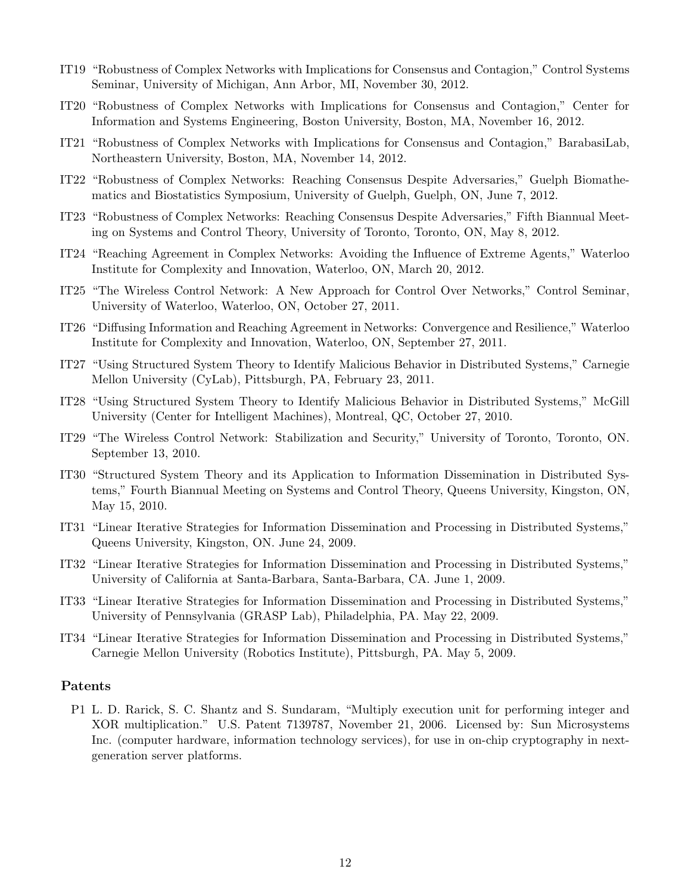- IT19 "Robustness of Complex Networks with Implications for Consensus and Contagion," Control Systems Seminar, University of Michigan, Ann Arbor, MI, November 30, 2012.
- IT20 "Robustness of Complex Networks with Implications for Consensus and Contagion," Center for Information and Systems Engineering, Boston University, Boston, MA, November 16, 2012.
- IT21 "Robustness of Complex Networks with Implications for Consensus and Contagion," BarabasiLab, Northeastern University, Boston, MA, November 14, 2012.
- IT22 "Robustness of Complex Networks: Reaching Consensus Despite Adversaries," Guelph Biomathematics and Biostatistics Symposium, University of Guelph, Guelph, ON, June 7, 2012.
- IT23 "Robustness of Complex Networks: Reaching Consensus Despite Adversaries," Fifth Biannual Meeting on Systems and Control Theory, University of Toronto, Toronto, ON, May 8, 2012.
- IT24 "Reaching Agreement in Complex Networks: Avoiding the Influence of Extreme Agents," Waterloo Institute for Complexity and Innovation, Waterloo, ON, March 20, 2012.
- IT25 "The Wireless Control Network: A New Approach for Control Over Networks," Control Seminar, University of Waterloo, Waterloo, ON, October 27, 2011.
- IT26 "Diffusing Information and Reaching Agreement in Networks: Convergence and Resilience," Waterloo Institute for Complexity and Innovation, Waterloo, ON, September 27, 2011.
- IT27 "Using Structured System Theory to Identify Malicious Behavior in Distributed Systems," Carnegie Mellon University (CyLab), Pittsburgh, PA, February 23, 2011.
- IT28 "Using Structured System Theory to Identify Malicious Behavior in Distributed Systems," McGill University (Center for Intelligent Machines), Montreal, QC, October 27, 2010.
- IT29 "The Wireless Control Network: Stabilization and Security," University of Toronto, Toronto, ON. September 13, 2010.
- IT30 "Structured System Theory and its Application to Information Dissemination in Distributed Systems," Fourth Biannual Meeting on Systems and Control Theory, Queens University, Kingston, ON, May 15, 2010.
- IT31 "Linear Iterative Strategies for Information Dissemination and Processing in Distributed Systems," Queens University, Kingston, ON. June 24, 2009.
- IT32 "Linear Iterative Strategies for Information Dissemination and Processing in Distributed Systems," University of California at Santa-Barbara, Santa-Barbara, CA. June 1, 2009.
- IT33 "Linear Iterative Strategies for Information Dissemination and Processing in Distributed Systems," University of Pennsylvania (GRASP Lab), Philadelphia, PA. May 22, 2009.
- IT34 "Linear Iterative Strategies for Information Dissemination and Processing in Distributed Systems," Carnegie Mellon University (Robotics Institute), Pittsburgh, PA. May 5, 2009.

#### Patents

P1 L. D. Rarick, S. C. Shantz and S. Sundaram, "Multiply execution unit for performing integer and XOR multiplication." U.S. Patent 7139787, November 21, 2006. Licensed by: Sun Microsystems Inc. (computer hardware, information technology services), for use in on-chip cryptography in nextgeneration server platforms.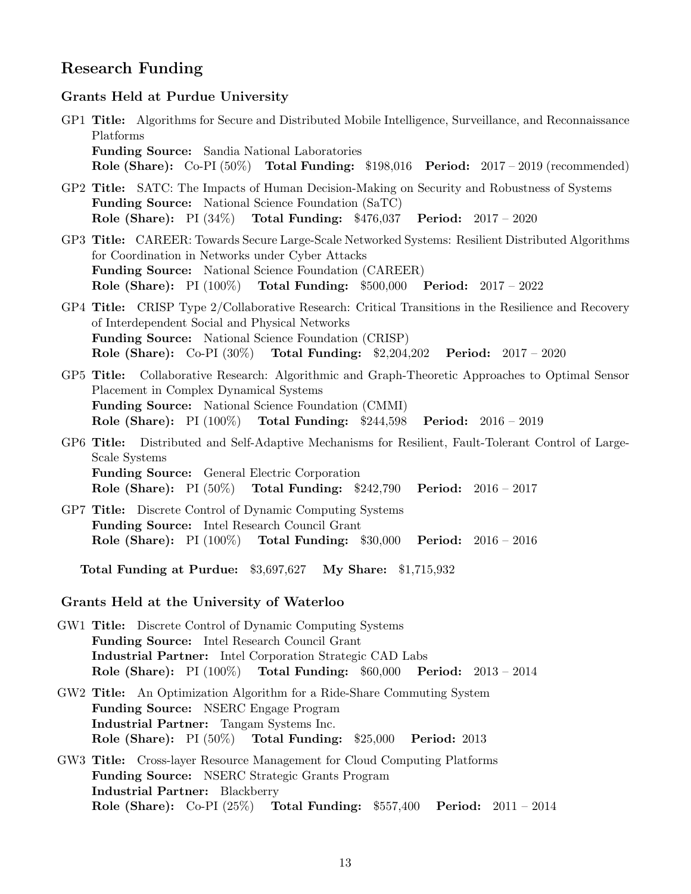# Research Funding

#### Grants Held at Purdue University

- GP1 Title: Algorithms for Secure and Distributed Mobile Intelligence, Surveillance, and Reconnaissance Platforms Funding Source: Sandia National Laboratories Role (Share): Co-PI (50%) Total Funding: \$198,016 Period: 2017 – 2019 (recommended)
- GP2 Title: SATC: The Impacts of Human Decision-Making on Security and Robustness of Systems Funding Source: National Science Foundation (SaTC) Role (Share): PI (34%) Total Funding: \$476,037 Period: 2017 – 2020
- GP3 Title: CAREER: Towards Secure Large-Scale Networked Systems: Resilient Distributed Algorithms for Coordination in Networks under Cyber Attacks Funding Source: National Science Foundation (CAREER) Role (Share): PI (100%) Total Funding: \$500,000 Period: 2017 – 2022
- GP4 Title: CRISP Type 2/Collaborative Research: Critical Transitions in the Resilience and Recovery of Interdependent Social and Physical Networks Funding Source: National Science Foundation (CRISP) Role (Share): Co-PI (30%) Total Funding: \$2,204,202 Period: 2017 – 2020
- GP5 Title: Collaborative Research: Algorithmic and Graph-Theoretic Approaches to Optimal Sensor Placement in Complex Dynamical Systems Funding Source: National Science Foundation (CMMI) Role (Share): PI (100%) Total Funding: \$244,598 Period: 2016 – 2019
- GP6 Title: Distributed and Self-Adaptive Mechanisms for Resilient, Fault-Tolerant Control of Large-Scale Systems Funding Source: General Electric Corporation Role (Share): PI (50%) Total Funding: \$242,790 Period: 2016 – 2017
- GP7 Title: Discrete Control of Dynamic Computing Systems Funding Source: Intel Research Council Grant Role (Share): PI (100%) Total Funding: \$30,000 Period: 2016 – 2016

Total Funding at Purdue: \$3,697,627 My Share: \$1,715,932

#### Grants Held at the University of Waterloo

- GW1 Title: Discrete Control of Dynamic Computing Systems Funding Source: Intel Research Council Grant Industrial Partner: Intel Corporation Strategic CAD Labs Role (Share): PI (100%) Total Funding: \$60,000 Period: 2013 – 2014
- GW2 Title: An Optimization Algorithm for a Ride-Share Commuting System Funding Source: NSERC Engage Program Industrial Partner: Tangam Systems Inc. Role (Share): PI (50%) Total Funding: \$25,000 Period: 2013
- GW3 Title: Cross-layer Resource Management for Cloud Computing Platforms Funding Source: NSERC Strategic Grants Program Industrial Partner: Blackberry Role (Share): Co-PI (25%) Total Funding: \$557,400 Period: 2011 – 2014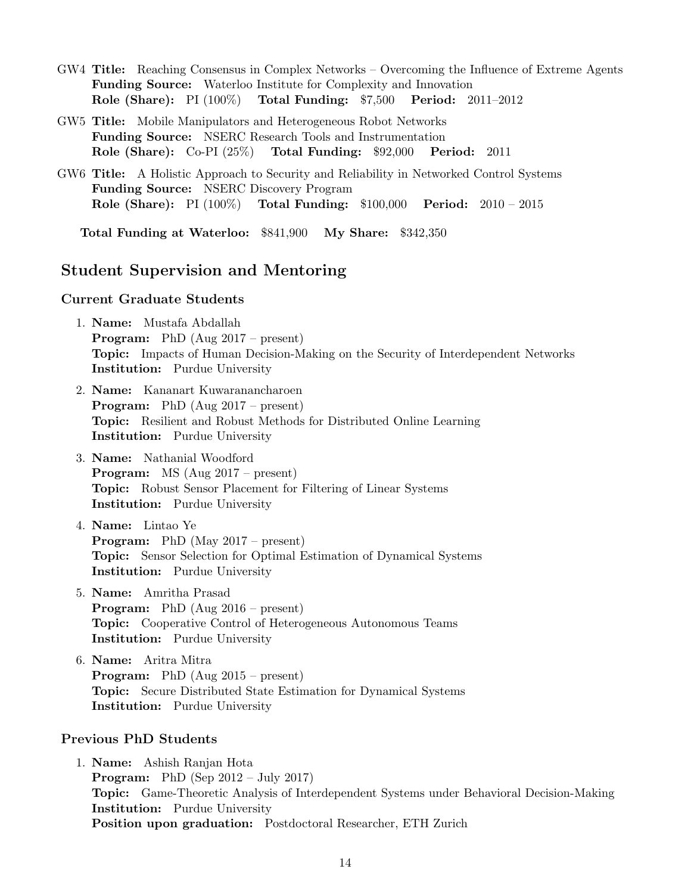- GW4 Title: Reaching Consensus in Complex Networks Overcoming the Influence of Extreme Agents Funding Source: Waterloo Institute for Complexity and Innovation Role (Share): PI (100%) Total Funding: \$7,500 Period: 2011–2012
- GW5 Title: Mobile Manipulators and Heterogeneous Robot Networks Funding Source: NSERC Research Tools and Instrumentation Role (Share): Co-PI (25%) Total Funding: \$92,000 Period: 2011
- GW6 Title: A Holistic Approach to Security and Reliability in Networked Control Systems Funding Source: NSERC Discovery Program Role (Share): PI (100%) Total Funding: \$100,000 Period: 2010 – 2015

Total Funding at Waterloo: \$841,900 My Share: \$342,350

# Student Supervision and Mentoring

#### Current Graduate Students

- 1. Name: Mustafa Abdallah Program: PhD (Aug 2017 – present) Topic: Impacts of Human Decision-Making on the Security of Interdependent Networks Institution: Purdue University
- 2. Name: Kananart Kuwaranancharoen Program: PhD (Aug 2017 – present) Topic: Resilient and Robust Methods for Distributed Online Learning Institution: Purdue University
- 3. Name: Nathanial Woodford Program: MS (Aug 2017 – present) Topic: Robust Sensor Placement for Filtering of Linear Systems Institution: Purdue University
- 4. Name: Lintao Ye Program: PhD (May 2017 – present) Topic: Sensor Selection for Optimal Estimation of Dynamical Systems Institution: Purdue University
- 5. Name: Amritha Prasad Program: PhD (Aug 2016 – present) Topic: Cooperative Control of Heterogeneous Autonomous Teams Institution: Purdue University
- 6. Name: Aritra Mitra Program: PhD (Aug 2015 – present) Topic: Secure Distributed State Estimation for Dynamical Systems Institution: Purdue University

#### Previous PhD Students

1. Name: Ashish Ranjan Hota **Program:** PhD (Sep  $2012 - \text{July } 2017$ ) Topic: Game-Theoretic Analysis of Interdependent Systems under Behavioral Decision-Making Institution: Purdue University Position upon graduation: Postdoctoral Researcher, ETH Zurich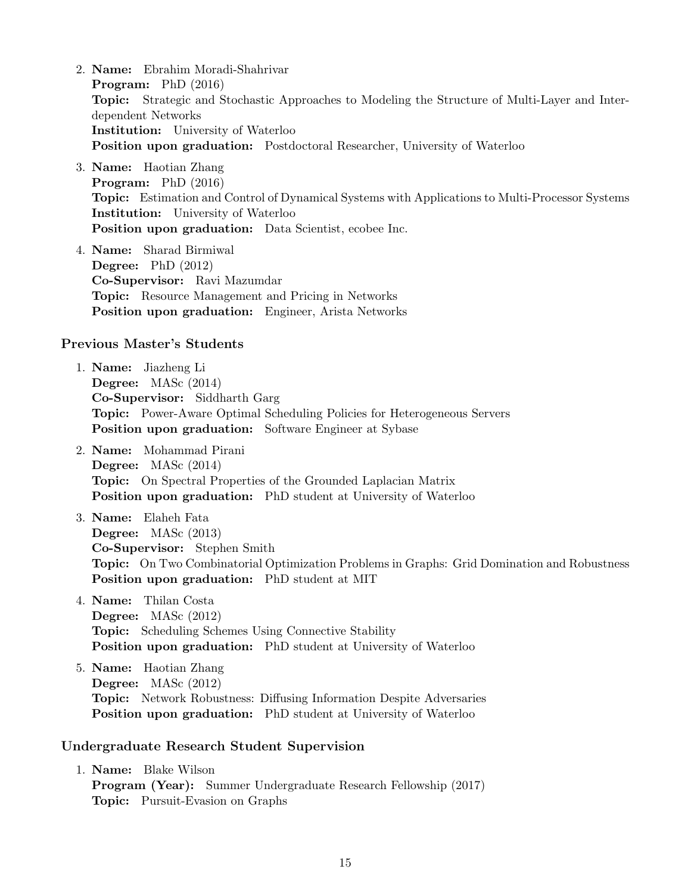- 2. Name: Ebrahim Moradi-Shahrivar Program: PhD (2016) Topic: Strategic and Stochastic Approaches to Modeling the Structure of Multi-Layer and Interdependent Networks Institution: University of Waterloo Position upon graduation: Postdoctoral Researcher, University of Waterloo
- 3. Name: Haotian Zhang Program: PhD (2016) Topic: Estimation and Control of Dynamical Systems with Applications to Multi-Processor Systems Institution: University of Waterloo Position upon graduation: Data Scientist, ecobee Inc.
- 4. Name: Sharad Birmiwal Degree: PhD (2012) Co-Supervisor: Ravi Mazumdar Topic: Resource Management and Pricing in Networks Position upon graduation: Engineer, Arista Networks

#### Previous Master's Students

- 1. Name: Jiazheng Li Degree: MASc (2014) Co-Supervisor: Siddharth Garg Topic: Power-Aware Optimal Scheduling Policies for Heterogeneous Servers Position upon graduation: Software Engineer at Sybase
- 2. Name: Mohammad Pirani Degree: MASc (2014) Topic: On Spectral Properties of the Grounded Laplacian Matrix Position upon graduation: PhD student at University of Waterloo
- 3. Name: Elaheh Fata Degree: MASc (2013) Co-Supervisor: Stephen Smith Topic: On Two Combinatorial Optimization Problems in Graphs: Grid Domination and Robustness Position upon graduation: PhD student at MIT
- 4. Name: Thilan Costa Degree: MASc (2012) Topic: Scheduling Schemes Using Connective Stability Position upon graduation: PhD student at University of Waterloo
- 5. Name: Haotian Zhang Degree: MASc (2012) Topic: Network Robustness: Diffusing Information Despite Adversaries Position upon graduation: PhD student at University of Waterloo

#### Undergraduate Research Student Supervision

1. Name: Blake Wilson Program (Year): Summer Undergraduate Research Fellowship (2017) Topic: Pursuit-Evasion on Graphs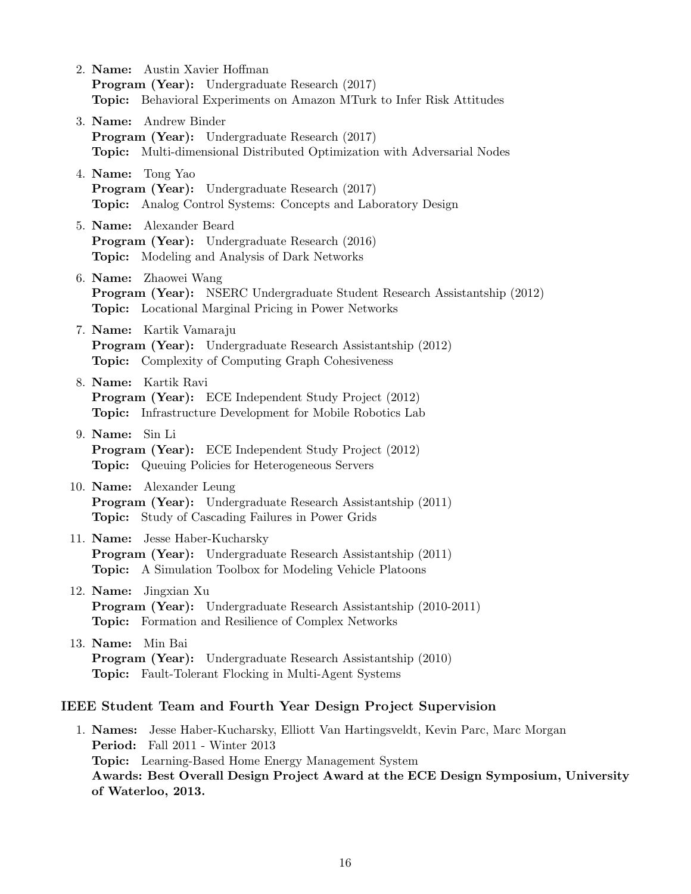- 2. Name: Austin Xavier Hoffman Program (Year): Undergraduate Research (2017) Topic: Behavioral Experiments on Amazon MTurk to Infer Risk Attitudes
- 3. Name: Andrew Binder Program (Year): Undergraduate Research (2017) Topic: Multi-dimensional Distributed Optimization with Adversarial Nodes
- 4. Name: Tong Yao Program (Year): Undergraduate Research (2017) Topic: Analog Control Systems: Concepts and Laboratory Design
- 5. Name: Alexander Beard Program (Year): Undergraduate Research (2016) Topic: Modeling and Analysis of Dark Networks
- 6. Name: Zhaowei Wang Program (Year): NSERC Undergraduate Student Research Assistantship (2012) Topic: Locational Marginal Pricing in Power Networks
- 7. Name: Kartik Vamaraju Program (Year): Undergraduate Research Assistantship (2012) Topic: Complexity of Computing Graph Cohesiveness
- 8. Name: Kartik Ravi Program (Year): ECE Independent Study Project (2012) Topic: Infrastructure Development for Mobile Robotics Lab
- 9. Name: Sin Li Program (Year): ECE Independent Study Project (2012) Topic: Queuing Policies for Heterogeneous Servers
- 10. Name: Alexander Leung Program (Year): Undergraduate Research Assistantship (2011) Topic: Study of Cascading Failures in Power Grids
- 11. Name: Jesse Haber-Kucharsky Program (Year): Undergraduate Research Assistantship (2011) Topic: A Simulation Toolbox for Modeling Vehicle Platoons
- 12. Name: Jingxian Xu Program (Year): Undergraduate Research Assistantship (2010-2011) Topic: Formation and Resilience of Complex Networks
- 13. Name: Min Bai Program (Year): Undergraduate Research Assistantship (2010) Topic: Fault-Tolerant Flocking in Multi-Agent Systems

### IEEE Student Team and Fourth Year Design Project Supervision

1. Names: Jesse Haber-Kucharsky, Elliott Van Hartingsveldt, Kevin Parc, Marc Morgan Period: Fall 2011 - Winter 2013 Topic: Learning-Based Home Energy Management System Awards: Best Overall Design Project Award at the ECE Design Symposium, University of Waterloo, 2013.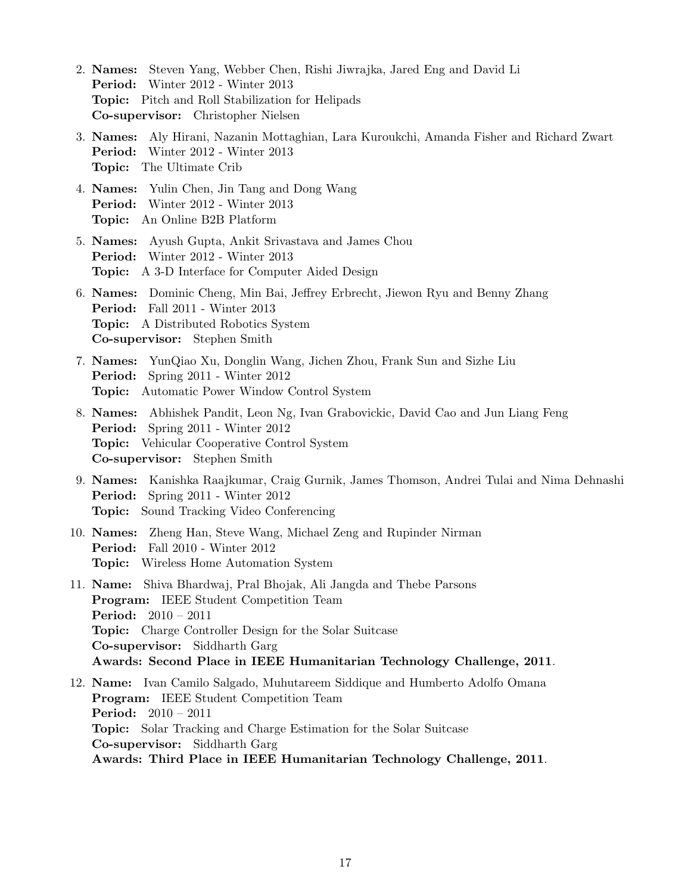- 2. Names: Steven Yang, Webber Chen, Rishi Jiwrajka, Jared Eng and David Li Period: Winter 2012 - Winter 2013 Topic: Pitch and Roll Stabilization for Helipads Co-supervisor: Christopher Nielsen
- 3. Names: Aly Hirani, Nazanin Mottaghian, Lara Kuroukchi, Amanda Fisher and Richard Zwart Period: Winter 2012 - Winter 2013 Topic: The Ultimate Crib
- 4. Names: Yulin Chen, Jin Tang and Dong Wang Period: Winter 2012 - Winter 2013 Topic: An Online B2B Platform
- 5. Names: Ayush Gupta, Ankit Srivastava and James Chou Period: Winter 2012 - Winter 2013 Topic: A 3-D Interface for Computer Aided Design
- 6. Names: Dominic Cheng, Min Bai, Jeffrey Erbrecht, Jiewon Ryu and Benny Zhang Period: Fall 2011 - Winter 2013 Topic: A Distributed Robotics System Co-supervisor: Stephen Smith
- 7. Names: YunQiao Xu, Donglin Wang, Jichen Zhou, Frank Sun and Sizhe Liu Period: Spring 2011 - Winter 2012 Topic: Automatic Power Window Control System
- 8. Names: Abhishek Pandit, Leon Ng, Ivan Grabovickic, David Cao and Jun Liang Feng Period: Spring 2011 - Winter 2012 **Topic:** Vehicular Cooperative Control System Co-supervisor: Stephen Smith
- 9. Names: Kanishka Raajkumar, Craig Gurnik, James Thomson, Andrei Tulai and Nima Dehnashi Period: Spring 2011 - Winter 2012 Topic: Sound Tracking Video Conferencing
- 10. Names: Zheng Han, Steve Wang, Michael Zeng and Rupinder Nirman Period: Fall 2010 - Winter 2012 Topic: Wireless Home Automation System
- 11. Name: Shiva Bhardwaj, Pral Bhojak, Ali Jangda and Thebe Parsons Program: IEEE Student Competition Team Period: 2010 – 2011 Topic: Charge Controller Design for the Solar Suitcase Co-supervisor: Siddharth Garg Awards: Second Place in IEEE Humanitarian Technology Challenge, 2011.
- 12. Name: Ivan Camilo Salgado, Muhutareem Siddique and Humberto Adolfo Omana Program: IEEE Student Competition Team Period: 2010 – 2011 Topic: Solar Tracking and Charge Estimation for the Solar Suitcase Co-supervisor: Siddharth Garg Awards: Third Place in IEEE Humanitarian Technology Challenge, 2011.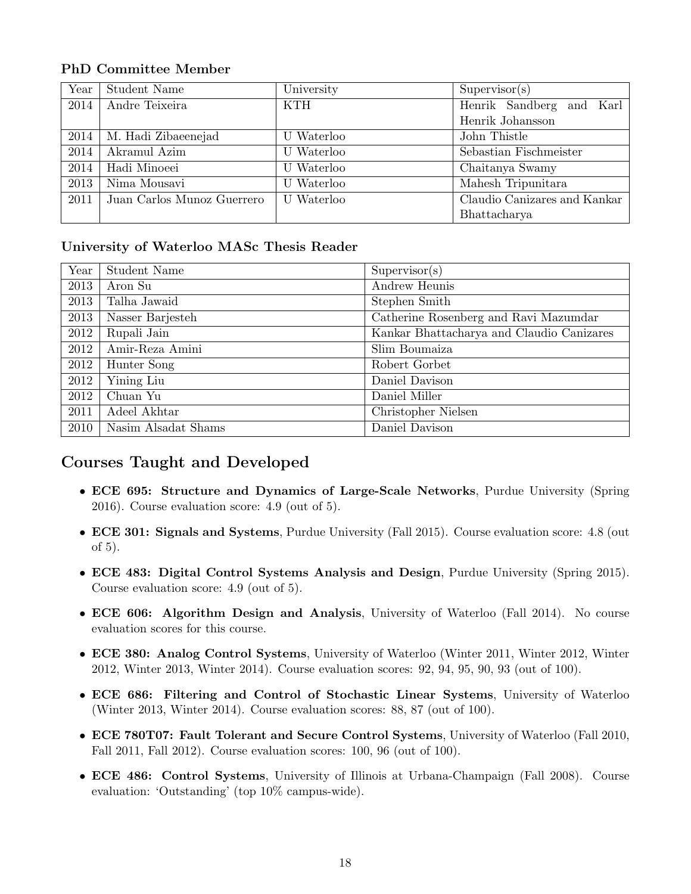# PhD Committee Member

| Year | Student Name               | University | Supervisor(s)                |
|------|----------------------------|------------|------------------------------|
| 2014 | Andre Teixeira             | <b>KTH</b> | Henrik Sandberg and Karl     |
|      |                            |            | Henrik Johansson             |
| 2014 | M. Hadi Zibaeenejad        | U Waterloo | John Thistle                 |
| 2014 | Akramul Azim               | U Waterloo | Sebastian Fischmeister       |
| 2014 | Hadi Minoeei               | U Waterloo | Chaitanya Swamy              |
| 2013 | Nima Mousavi               | Waterloo   | Mahesh Tripunitara           |
| 2011 | Juan Carlos Munoz Guerrero | U Waterloo | Claudio Canizares and Kankar |
|      |                            |            | Bhattacharya                 |

### University of Waterloo MASc Thesis Reader

| Year | Student Name        | Supervisor(s)                             |
|------|---------------------|-------------------------------------------|
| 2013 | Aron Su             | Andrew Heunis                             |
| 2013 | Talha Jawaid        | Stephen Smith                             |
| 2013 | Nasser Barjesteh    | Catherine Rosenberg and Ravi Mazumdar     |
| 2012 | Rupali Jain         | Kankar Bhattacharya and Claudio Canizares |
| 2012 | Amir-Reza Amini     | Slim Boumaiza                             |
| 2012 | Hunter Song         | Robert Gorbet                             |
| 2012 | Yining Liu          | Daniel Davison                            |
| 2012 | Chuan Yu            | Daniel Miller                             |
| 2011 | Adeel Akhtar        | Christopher Nielsen                       |
| 2010 | Nasim Alsadat Shams | Daniel Davison                            |

# Courses Taught and Developed

- ECE 695: Structure and Dynamics of Large-Scale Networks, Purdue University (Spring 2016). Course evaluation score: 4.9 (out of 5).
- ECE 301: Signals and Systems, Purdue University (Fall 2015). Course evaluation score: 4.8 (out of 5).
- ECE 483: Digital Control Systems Analysis and Design, Purdue University (Spring 2015). Course evaluation score: 4.9 (out of 5).
- ECE 606: Algorithm Design and Analysis, University of Waterloo (Fall 2014). No course evaluation scores for this course.
- ECE 380: Analog Control Systems, University of Waterloo (Winter 2011, Winter 2012, Winter 2012, Winter 2013, Winter 2014). Course evaluation scores: 92, 94, 95, 90, 93 (out of 100).
- ECE 686: Filtering and Control of Stochastic Linear Systems, University of Waterloo (Winter 2013, Winter 2014). Course evaluation scores: 88, 87 (out of 100).
- ECE 780T07: Fault Tolerant and Secure Control Systems, University of Waterloo (Fall 2010, Fall 2011, Fall 2012). Course evaluation scores: 100, 96 (out of 100).
- ECE 486: Control Systems, University of Illinois at Urbana-Champaign (Fall 2008). Course evaluation: 'Outstanding' (top 10% campus-wide).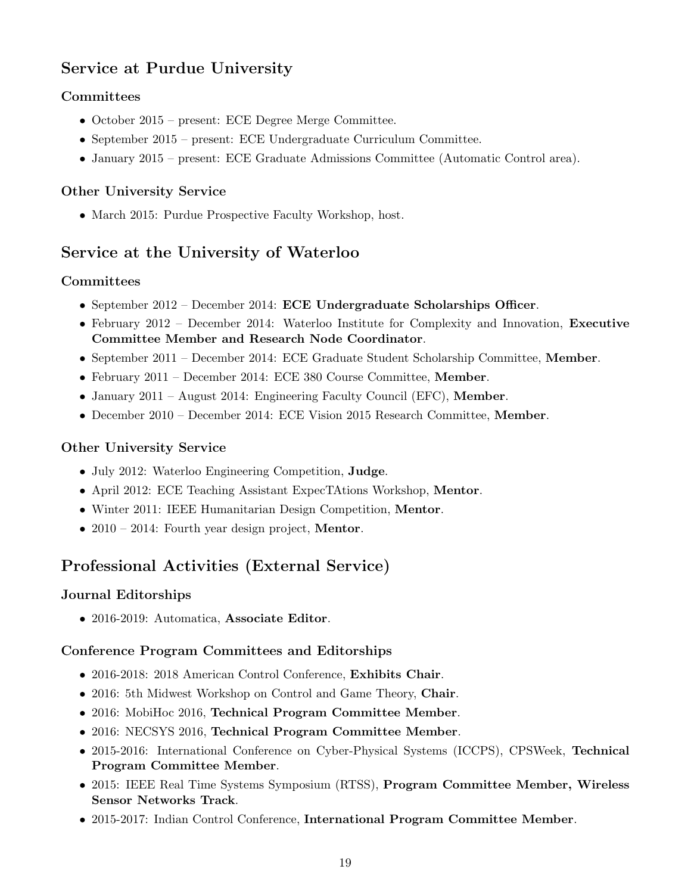# Service at Purdue University

# Committees

- October 2015 present: ECE Degree Merge Committee.
- September 2015 present: ECE Undergraduate Curriculum Committee.
- January 2015 present: ECE Graduate Admissions Committee (Automatic Control area).

# Other University Service

• March 2015: Purdue Prospective Faculty Workshop, host.

# Service at the University of Waterloo

# **Committees**

- September 2012 December 2014: ECE Undergraduate Scholarships Officer.
- February 2012 December 2014: Waterloo Institute for Complexity and Innovation, Executive Committee Member and Research Node Coordinator.
- September 2011 December 2014: ECE Graduate Student Scholarship Committee, Member.
- February 2011 December 2014: ECE 380 Course Committee, Member.
- January 2011 August 2014: Engineering Faculty Council (EFC), Member.
- December 2010 December 2014: ECE Vision 2015 Research Committee, Member.

# Other University Service

- July 2012: Waterloo Engineering Competition, Judge.
- April 2012: ECE Teaching Assistant ExpecTAtions Workshop, Mentor.
- Winter 2011: IEEE Humanitarian Design Competition, Mentor.
- 2010 2014: Fourth year design project, **Mentor**.

# Professional Activities (External Service)

# Journal Editorships

• 2016-2019: Automatica, Associate Editor.

# Conference Program Committees and Editorships

- 2016-2018: 2018 American Control Conference, Exhibits Chair.
- 2016: 5th Midwest Workshop on Control and Game Theory, Chair.
- 2016: MobiHoc 2016, Technical Program Committee Member.
- 2016: NECSYS 2016, Technical Program Committee Member.
- 2015-2016: International Conference on Cyber-Physical Systems (ICCPS), CPSWeek, Technical Program Committee Member.
- 2015: IEEE Real Time Systems Symposium (RTSS), Program Committee Member, Wireless Sensor Networks Track.
- 2015-2017: Indian Control Conference, International Program Committee Member.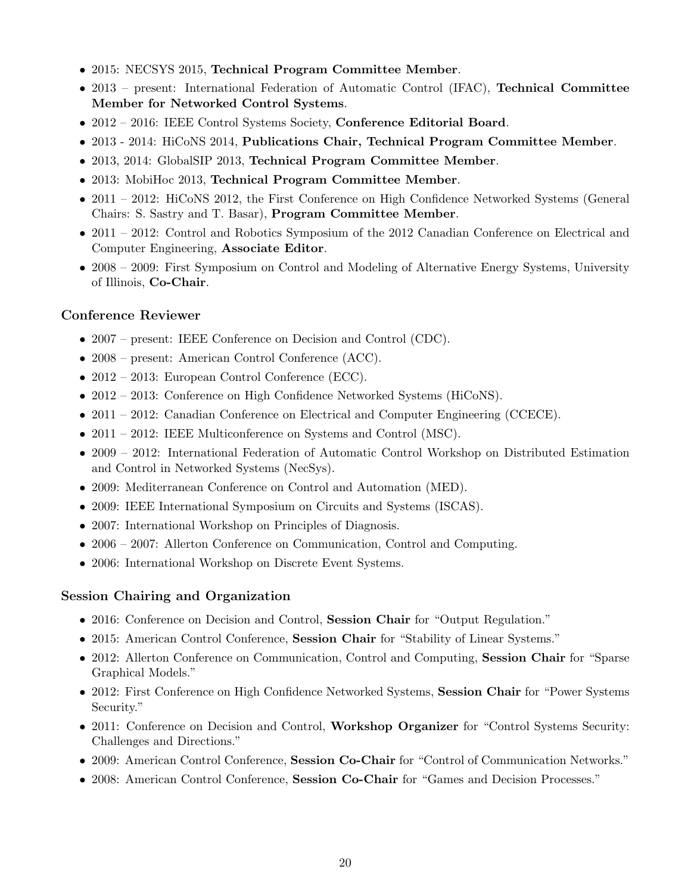- 2015: NECSYS 2015, Technical Program Committee Member.
- 2013 present: International Federation of Automatic Control (IFAC), **Technical Committee** Member for Networked Control Systems.
- 2012 2016: IEEE Control Systems Society, Conference Editorial Board.
- 2013 2014: HiCoNS 2014, Publications Chair, Technical Program Committee Member.
- 2013, 2014: GlobalSIP 2013, Technical Program Committee Member.
- 2013: MobiHoc 2013, Technical Program Committee Member.
- 2011 2012: HiCoNS 2012, the First Conference on High Confidence Networked Systems (General Chairs: S. Sastry and T. Basar), Program Committee Member.
- 2011 2012: Control and Robotics Symposium of the 2012 Canadian Conference on Electrical and Computer Engineering, Associate Editor.
- 2008 2009: First Symposium on Control and Modeling of Alternative Energy Systems, University of Illinois, Co-Chair.

### Conference Reviewer

- 2007 present: IEEE Conference on Decision and Control (CDC).
- 2008 present: American Control Conference (ACC).
- 2012 2013: European Control Conference (ECC).
- 2012 2013: Conference on High Confidence Networked Systems (HiCoNS).
- 2011 2012: Canadian Conference on Electrical and Computer Engineering (CCECE).
- 2011 2012: IEEE Multiconference on Systems and Control (MSC).
- 2009 2012: International Federation of Automatic Control Workshop on Distributed Estimation and Control in Networked Systems (NecSys).
- 2009: Mediterranean Conference on Control and Automation (MED).
- 2009: IEEE International Symposium on Circuits and Systems (ISCAS).
- 2007: International Workshop on Principles of Diagnosis.
- 2006 2007: Allerton Conference on Communication, Control and Computing.
- 2006: International Workshop on Discrete Event Systems.

### Session Chairing and Organization

- 2016: Conference on Decision and Control, Session Chair for "Output Regulation."
- 2015: American Control Conference, Session Chair for "Stability of Linear Systems."
- 2012: Allerton Conference on Communication, Control and Computing, Session Chair for "Sparse" Graphical Models."
- 2012: First Conference on High Confidence Networked Systems, Session Chair for "Power Systems Security."
- 2011: Conference on Decision and Control, Workshop Organizer for "Control Systems Security: Challenges and Directions."
- 2009: American Control Conference, Session Co-Chair for "Control of Communication Networks."
- 2008: American Control Conference, Session Co-Chair for "Games and Decision Processes."